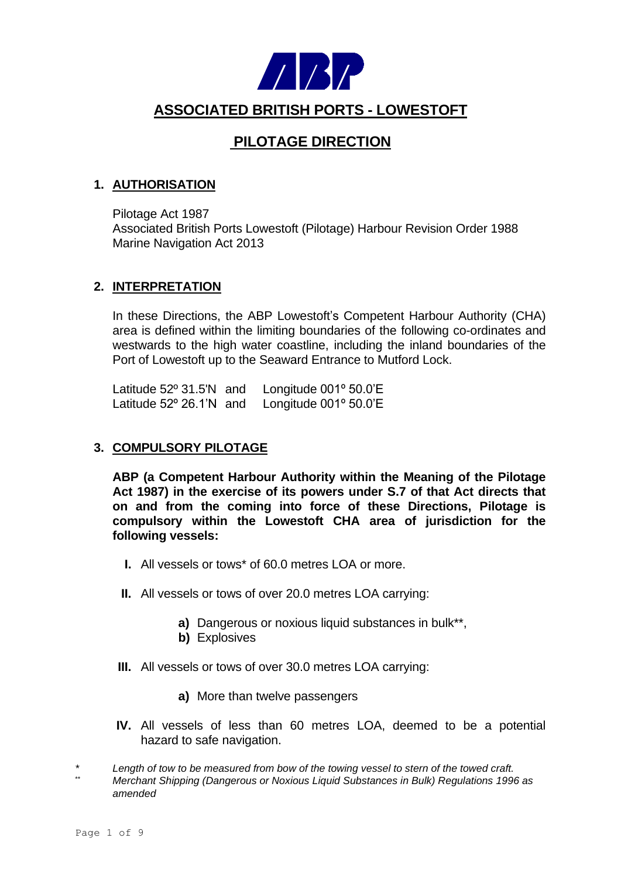

# **ASSOCIATED BRITISH PORTS - LOWESTOFT**

# **PILOTAGE DIRECTION**

### **1. AUTHORISATION**

Pilotage Act 1987 Associated British Ports Lowestoft (Pilotage) Harbour Revision Order 1988 Marine Navigation Act 2013

#### **2. INTERPRETATION**

In these Directions, the ABP Lowestoft's Competent Harbour Authority (CHA) area is defined within the limiting boundaries of the following co-ordinates and westwards to the high water coastline, including the inland boundaries of the Port of Lowestoft up to the Seaward Entrance to Mutford Lock.

Latitude 52º 31.5'N and Longitude 001º 50.0'E Latitude 52º 26.1'N and Longitude 001º 50.0'E

### **3. COMPULSORY PILOTAGE**

**ABP (a Competent Harbour Authority within the Meaning of the Pilotage Act 1987) in the exercise of its powers under S.7 of that Act directs that on and from the coming into force of these Directions, Pilotage is compulsory within the Lowestoft CHA area of jurisdiction for the following vessels:**

- **I.** All vessels or tows\* of 60.0 metres LOA or more.
- **II.** All vessels or tows of over 20.0 metres LOA carrying:
	- **a)** Dangerous or noxious liquid substances in bulk\*\*,
	- **b)** Explosives
- **III.** All vessels or tows of over 30.0 metres LOA carrying:
	- **a)** More than twelve passengers
- **IV.** All vessels of less than 60 metres LOA, deemed to be a potential hazard to safe navigation.

*\* Length of tow to be measured from bow of the towing vessel to stern of the towed craft.* \*\* *Merchant Shipping (Dangerous or Noxious Liquid Substances in Bulk) Regulations 1996 as amended*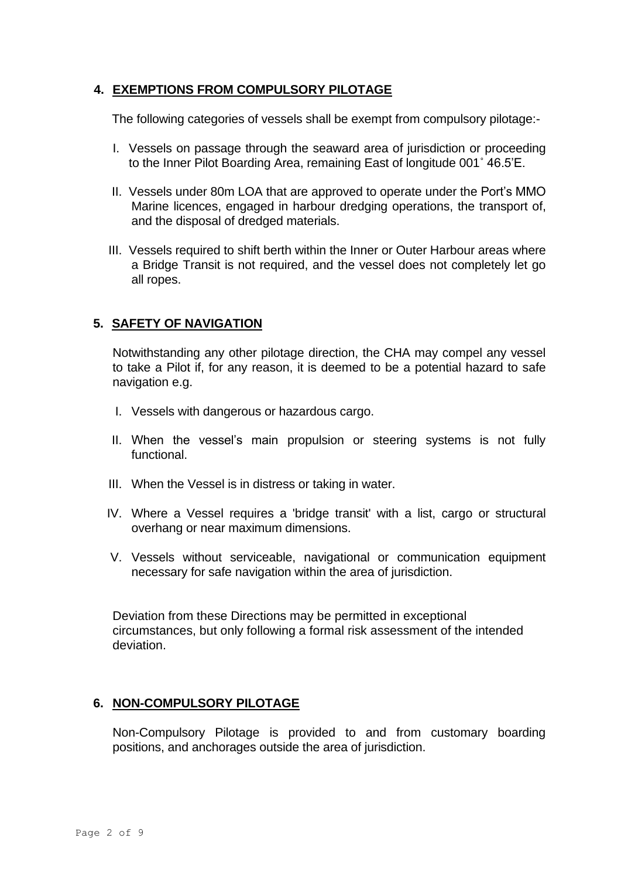## **4. EXEMPTIONS FROM COMPULSORY PILOTAGE**

The following categories of vessels shall be exempt from compulsory pilotage:-

- I. Vessels on passage through the seaward area of jurisdiction or proceeding to the Inner Pilot Boarding Area, remaining East of longitude 001˚ 46.5'E.
- II. Vessels under 80m LOA that are approved to operate under the Port's MMO Marine licences, engaged in harbour dredging operations, the transport of, and the disposal of dredged materials.
- III. Vessels required to shift berth within the Inner or Outer Harbour areas where a Bridge Transit is not required, and the vessel does not completely let go all ropes.

# **5. SAFETY OF NAVIGATION**

Notwithstanding any other pilotage direction, the CHA may compel any vessel to take a Pilot if, for any reason, it is deemed to be a potential hazard to safe navigation e.g.

- I. Vessels with dangerous or hazardous cargo.
- II. When the vessel's main propulsion or steering systems is not fully functional.
- III. When the Vessel is in distress or taking in water.
- IV. Where a Vessel requires a 'bridge transit' with a list, cargo or structural overhang or near maximum dimensions.
- V. Vessels without serviceable, navigational or communication equipment necessary for safe navigation within the area of jurisdiction.

Deviation from these Directions may be permitted in exceptional circumstances, but only following a formal risk assessment of the intended deviation.

### **6. NON-COMPULSORY PILOTAGE**

Non-Compulsory Pilotage is provided to and from customary boarding positions, and anchorages outside the area of jurisdiction.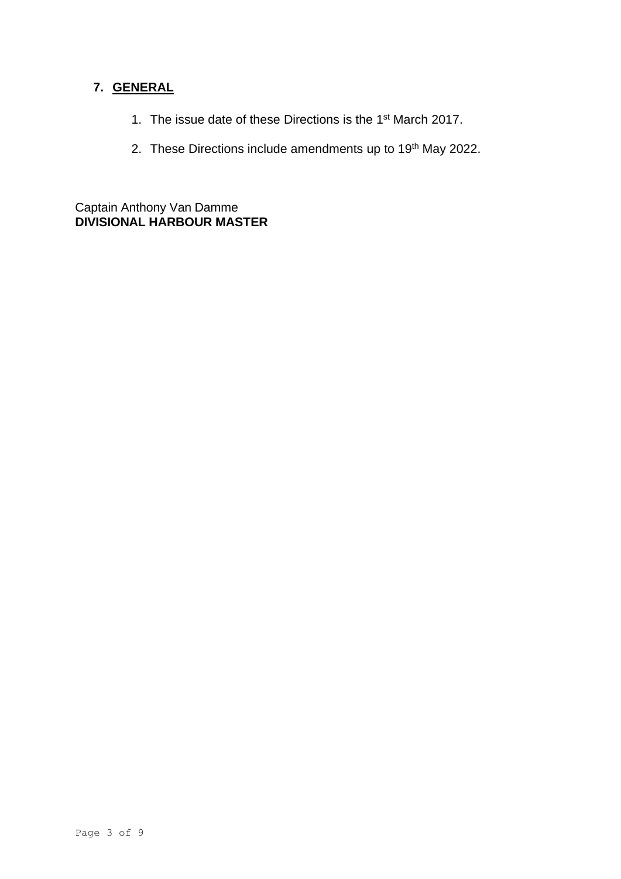# **7. GENERAL**

- 1. The issue date of these Directions is the 1<sup>st</sup> March 2017.
- 2. These Directions include amendments up to 19<sup>th</sup> May 2022.

Captain Anthony Van Damme **DIVISIONAL HARBOUR MASTER**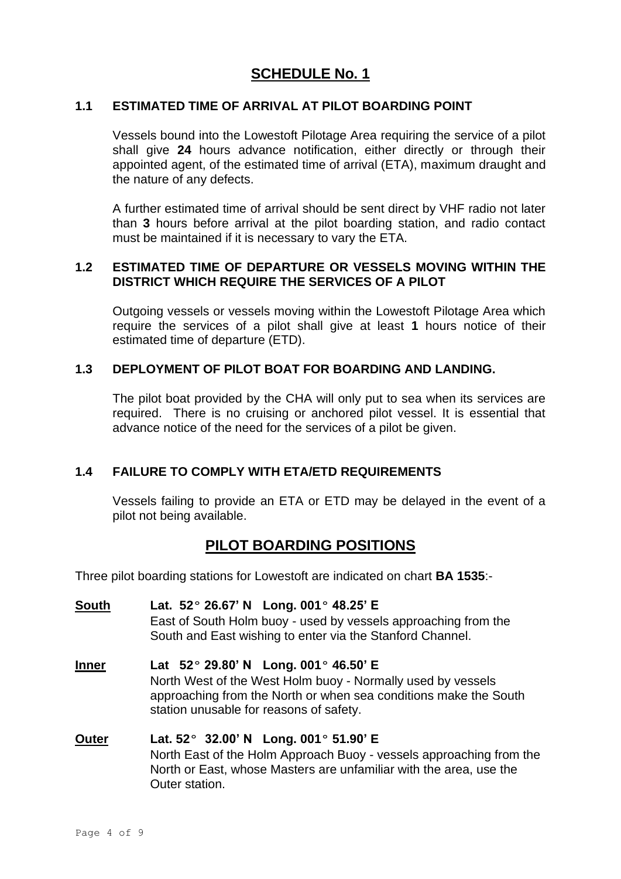# **SCHEDULE No. 1**

#### **1.1 ESTIMATED TIME OF ARRIVAL AT PILOT BOARDING POINT**

Vessels bound into the Lowestoft Pilotage Area requiring the service of a pilot shall give **24** hours advance notification, either directly or through their appointed agent, of the estimated time of arrival (ETA), maximum draught and the nature of any defects.

A further estimated time of arrival should be sent direct by VHF radio not later than **3** hours before arrival at the pilot boarding station, and radio contact must be maintained if it is necessary to vary the ETA.

#### **1.2 ESTIMATED TIME OF DEPARTURE OR VESSELS MOVING WITHIN THE DISTRICT WHICH REQUIRE THE SERVICES OF A PILOT**

Outgoing vessels or vessels moving within the Lowestoft Pilotage Area which require the services of a pilot shall give at least **1** hours notice of their estimated time of departure (ETD).

#### **1.3 DEPLOYMENT OF PILOT BOAT FOR BOARDING AND LANDING.**

The pilot boat provided by the CHA will only put to sea when its services are required. There is no cruising or anchored pilot vessel. It is essential that advance notice of the need for the services of a pilot be given.

## **1.4 FAILURE TO COMPLY WITH ETA/ETD REQUIREMENTS**

Vessels failing to provide an ETA or ETD may be delayed in the event of a pilot not being available.

# **PILOT BOARDING POSITIONS**

Three pilot boarding stations for Lowestoft are indicated on chart **BA 1535**:-

**South Lat. 52º 26.67' N Long. 001º 48.25' E** East of South Holm buoy - used by vessels approaching from the South and East wishing to enter via the Stanford Channel. **Inner Lat 52º 29.80' N Long. 001º 46.50' E** North West of the West Holm buoy - Normally used by vessels approaching from the North or when sea conditions make the South station unusable for reasons of safety. **Outer Lat. 52º 32.00' N Long. 001º 51.90' E** North East of the Holm Approach Buoy - vessels approaching from the North or East, whose Masters are unfamiliar with the area, use the

Outer station.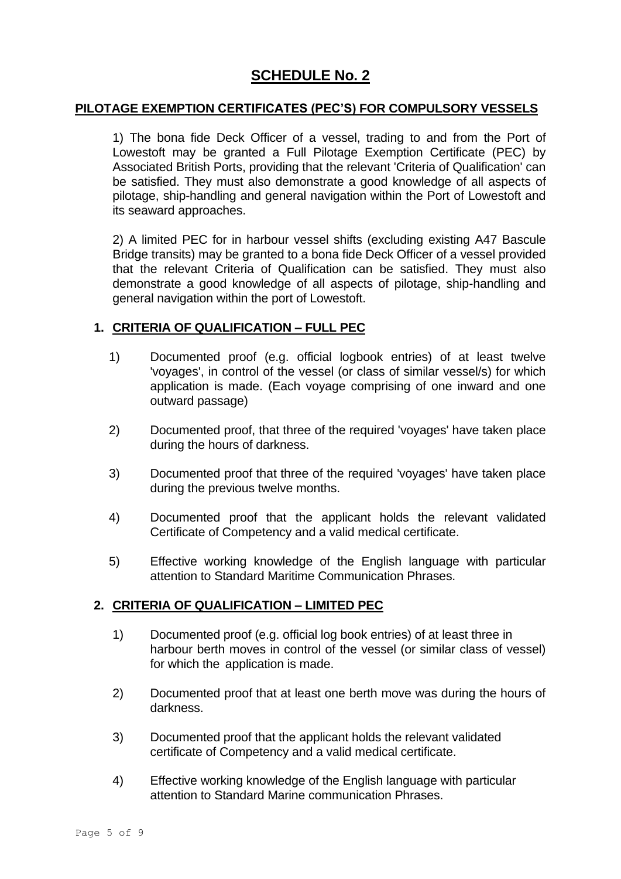# **SCHEDULE No. 2**

#### **PILOTAGE EXEMPTION CERTIFICATES (PEC'S) FOR COMPULSORY VESSELS**

1) The bona fide Deck Officer of a vessel, trading to and from the Port of Lowestoft may be granted a Full Pilotage Exemption Certificate (PEC) by Associated British Ports, providing that the relevant 'Criteria of Qualification' can be satisfied. They must also demonstrate a good knowledge of all aspects of pilotage, ship-handling and general navigation within the Port of Lowestoft and its seaward approaches.

2) A limited PEC for in harbour vessel shifts (excluding existing A47 Bascule Bridge transits) may be granted to a bona fide Deck Officer of a vessel provided that the relevant Criteria of Qualification can be satisfied. They must also demonstrate a good knowledge of all aspects of pilotage, ship-handling and general navigation within the port of Lowestoft.

### **1. CRITERIA OF QUALIFICATION – FULL PEC**

- 1) Documented proof (e.g. official logbook entries) of at least twelve 'voyages', in control of the vessel (or class of similar vessel/s) for which application is made. (Each voyage comprising of one inward and one outward passage)
- 2) Documented proof, that three of the required 'voyages' have taken place during the hours of darkness.
- 3) Documented proof that three of the required 'voyages' have taken place during the previous twelve months.
- 4) Documented proof that the applicant holds the relevant validated Certificate of Competency and a valid medical certificate.
- 5) Effective working knowledge of the English language with particular attention to Standard Maritime Communication Phrases.

#### **2. CRITERIA OF QUALIFICATION – LIMITED PEC**

- 1) Documented proof (e.g. official log book entries) of at least three in harbour berth moves in control of the vessel (or similar class of vessel) for which the application is made.
- 2) Documented proof that at least one berth move was during the hours of darkness.
- 3) Documented proof that the applicant holds the relevant validated certificate of Competency and a valid medical certificate.
- 4) Effective working knowledge of the English language with particular attention to Standard Marine communication Phrases.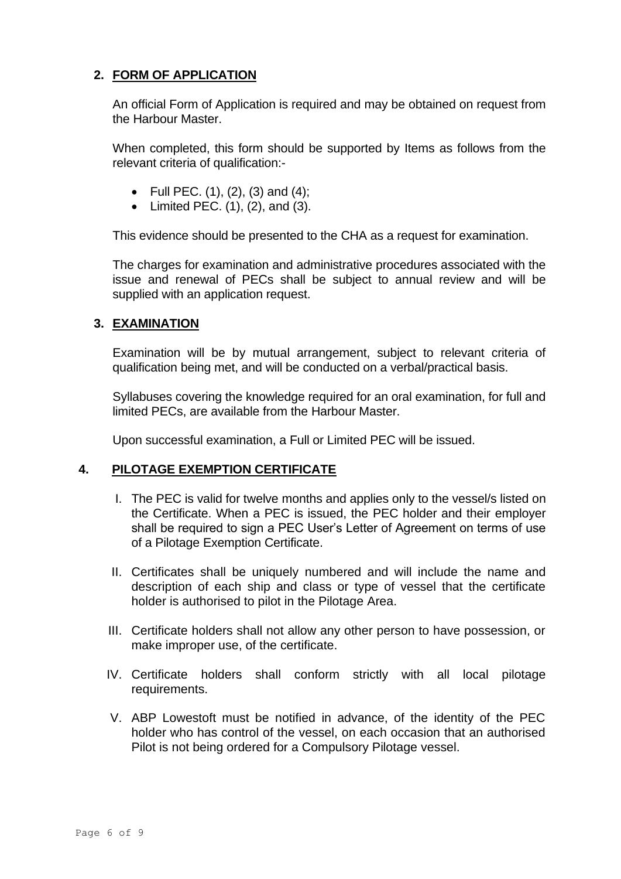# **2. FORM OF APPLICATION**

An official Form of Application is required and may be obtained on request from the Harbour Master.

When completed, this form should be supported by Items as follows from the relevant criteria of qualification:-

- Full PEC.  $(1)$ ,  $(2)$ ,  $(3)$  and  $(4)$ ;
- Limited PEC.  $(1)$ ,  $(2)$ , and  $(3)$ .

This evidence should be presented to the CHA as a request for examination.

The charges for examination and administrative procedures associated with the issue and renewal of PECs shall be subject to annual review and will be supplied with an application request.

#### **3. EXAMINATION**

Examination will be by mutual arrangement, subject to relevant criteria of qualification being met, and will be conducted on a verbal/practical basis.

Syllabuses covering the knowledge required for an oral examination, for full and limited PECs, are available from the Harbour Master.

Upon successful examination, a Full or Limited PEC will be issued.

#### **4. PILOTAGE EXEMPTION CERTIFICATE**

- I. The PEC is valid for twelve months and applies only to the vessel/s listed on the Certificate. When a PEC is issued, the PEC holder and their employer shall be required to sign a PEC User's Letter of Agreement on terms of use of a Pilotage Exemption Certificate.
- II. Certificates shall be uniquely numbered and will include the name and description of each ship and class or type of vessel that the certificate holder is authorised to pilot in the Pilotage Area.
- III. Certificate holders shall not allow any other person to have possession, or make improper use, of the certificate.
- IV. Certificate holders shall conform strictly with all local pilotage requirements.
- V. ABP Lowestoft must be notified in advance, of the identity of the PEC holder who has control of the vessel, on each occasion that an authorised Pilot is not being ordered for a Compulsory Pilotage vessel.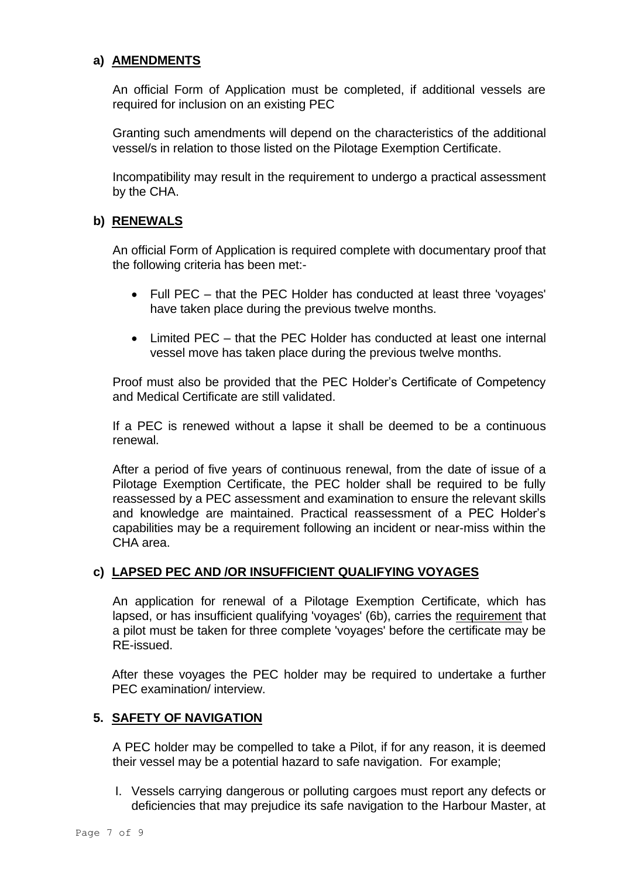## **a) AMENDMENTS**

An official Form of Application must be completed, if additional vessels are required for inclusion on an existing PEC

Granting such amendments will depend on the characteristics of the additional vessel/s in relation to those listed on the Pilotage Exemption Certificate.

Incompatibility may result in the requirement to undergo a practical assessment by the CHA.

### **b) RENEWALS**

An official Form of Application is required complete with documentary proof that the following criteria has been met:-

- Full PEC that the PEC Holder has conducted at least three 'voyages' have taken place during the previous twelve months.
- Limited PEC that the PEC Holder has conducted at least one internal vessel move has taken place during the previous twelve months.

Proof must also be provided that the PEC Holder's Certificate of Competency and Medical Certificate are still validated.

If a PEC is renewed without a lapse it shall be deemed to be a continuous renewal.

After a period of five years of continuous renewal, from the date of issue of a Pilotage Exemption Certificate, the PEC holder shall be required to be fully reassessed by a PEC assessment and examination to ensure the relevant skills and knowledge are maintained. Practical reassessment of a PEC Holder's capabilities may be a requirement following an incident or near-miss within the CHA area.

### **c) LAPSED PEC AND /OR INSUFFICIENT QUALIFYING VOYAGES**

An application for renewal of a Pilotage Exemption Certificate, which has lapsed, or has insufficient qualifying 'voyages' (6b), carries the requirement that a pilot must be taken for three complete 'voyages' before the certificate may be RE-issued.

After these voyages the PEC holder may be required to undertake a further PEC examination/ interview.

# **5. SAFETY OF NAVIGATION**

A PEC holder may be compelled to take a Pilot, if for any reason, it is deemed their vessel may be a potential hazard to safe navigation. For example;

I. Vessels carrying dangerous or polluting cargoes must report any defects or deficiencies that may prejudice its safe navigation to the Harbour Master, at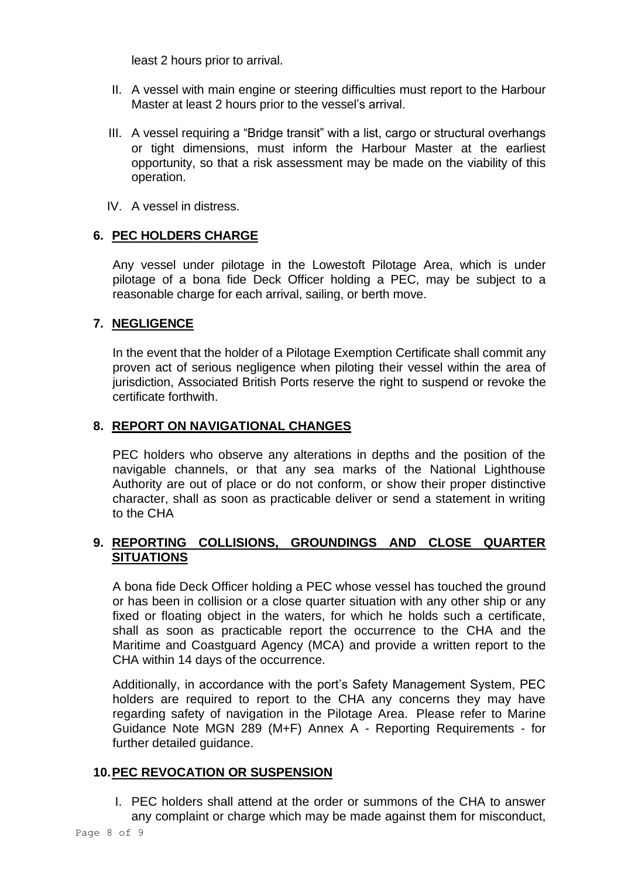least 2 hours prior to arrival.

- II. A vessel with main engine or steering difficulties must report to the Harbour Master at least 2 hours prior to the vessel's arrival.
- III. A vessel requiring a "Bridge transit" with a list, cargo or structural overhangs or tight dimensions, must inform the Harbour Master at the earliest opportunity, so that a risk assessment may be made on the viability of this operation.
- IV. A vessel in distress.

# **6. PEC HOLDERS CHARGE**

Any vessel under pilotage in the Lowestoft Pilotage Area, which is under pilotage of a bona fide Deck Officer holding a PEC, may be subject to a reasonable charge for each arrival, sailing, or berth move.

# **7. NEGLIGENCE**

In the event that the holder of a Pilotage Exemption Certificate shall commit any proven act of serious negligence when piloting their vessel within the area of jurisdiction, Associated British Ports reserve the right to suspend or revoke the certificate forthwith.

# **8. REPORT ON NAVIGATIONAL CHANGES**

PEC holders who observe any alterations in depths and the position of the navigable channels, or that any sea marks of the National Lighthouse Authority are out of place or do not conform, or show their proper distinctive character, shall as soon as practicable deliver or send a statement in writing to the CHA

# **9. REPORTING COLLISIONS, GROUNDINGS AND CLOSE QUARTER SITUATIONS**

A bona fide Deck Officer holding a PEC whose vessel has touched the ground or has been in collision or a close quarter situation with any other ship or any fixed or floating object in the waters, for which he holds such a certificate, shall as soon as practicable report the occurrence to the CHA and the Maritime and Coastguard Agency (MCA) and provide a written report to the CHA within 14 days of the occurrence.

Additionally, in accordance with the port's Safety Management System, PEC holders are required to report to the CHA any concerns they may have regarding safety of navigation in the Pilotage Area. Please refer to Marine Guidance Note MGN 289 (M+F) Annex A - Reporting Requirements - for further detailed guidance.

## **10.PEC REVOCATION OR SUSPENSION**

I. PEC holders shall attend at the order or summons of the CHA to answer any complaint or charge which may be made against them for misconduct,